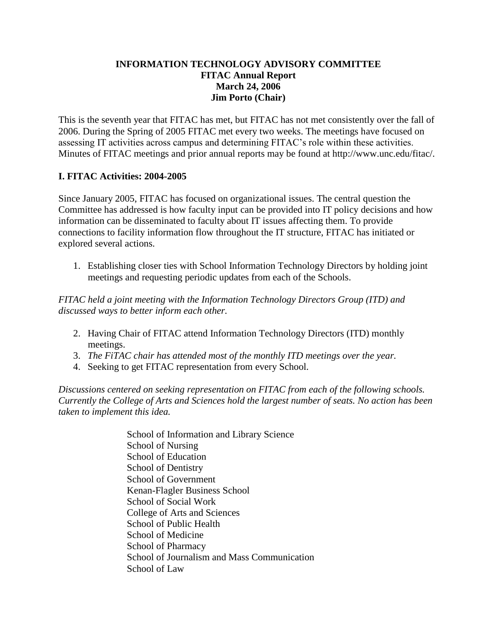#### **INFORMATION TECHNOLOGY ADVISORY COMMITTEE FITAC Annual Report March 24, 2006 Jim Porto (Chair)**

This is the seventh year that FITAC has met, but FITAC has not met consistently over the fall of 2006. During the Spring of 2005 FITAC met every two weeks. The meetings have focused on assessing IT activities across campus and determining FITAC's role within these activities. Minutes of FITAC meetings and prior annual reports may be found at http://www.unc.edu/fitac/.

### **I. FITAC Activities: 2004-2005**

Since January 2005, FITAC has focused on organizational issues. The central question the Committee has addressed is how faculty input can be provided into IT policy decisions and how information can be disseminated to faculty about IT issues affecting them. To provide connections to facility information flow throughout the IT structure, FITAC has initiated or explored several actions.

1. Establishing closer ties with School Information Technology Directors by holding joint meetings and requesting periodic updates from each of the Schools.

*FITAC held a joint meeting with the Information Technology Directors Group (ITD) and discussed ways to better inform each other.*

- 2. Having Chair of FITAC attend Information Technology Directors (ITD) monthly meetings.
- 3. *The FiTAC chair has attended most of the monthly ITD meetings over the year.*
- 4. Seeking to get FITAC representation from every School.

*Discussions centered on seeking representation on FITAC from each of the following schools. Currently the College of Arts and Sciences hold the largest number of seats. No action has been taken to implement this idea.*

> School of Information and Library Science School of Nursing School of Education School of Dentistry School of Government Kenan-Flagler Business School School of Social Work College of Arts and Sciences School of Public Health School of Medicine School of Pharmacy School of Journalism and Mass Communication School of Law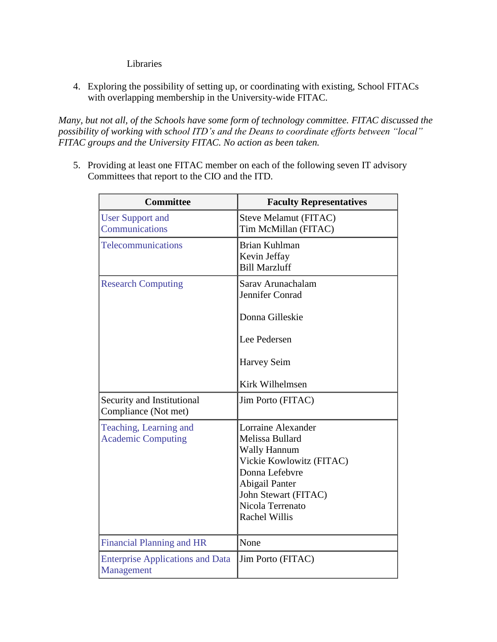Libraries

4. Exploring the possibility of setting up, or coordinating with existing, School FITACs with overlapping membership in the University-wide FITAC.

*Many, but not all, of the Schools have some form of technology committee. FITAC discussed the possibility of working with school ITD's and the Deans to coordinate efforts between "local" FITAC groups and the University FITAC. No action as been taken.*

5. Providing at least one FITAC member on each of the following seven IT advisory Committees that report to the CIO and the ITD.

| <b>Committee</b>                                      | <b>Faculty Representatives</b>                                                                                                                                                                          |
|-------------------------------------------------------|---------------------------------------------------------------------------------------------------------------------------------------------------------------------------------------------------------|
| <b>User Support and</b><br>Communications             | Steve Melamut (FITAC)<br>Tim McMillan (FITAC)                                                                                                                                                           |
| Telecommunications                                    | <b>Brian Kuhlman</b><br>Kevin Jeffay<br><b>Bill Marzluff</b>                                                                                                                                            |
| <b>Research Computing</b>                             | Sarav Arunachalam<br>Jennifer Conrad<br>Donna Gilleskie<br>Lee Pedersen<br><b>Harvey Seim</b>                                                                                                           |
|                                                       | <b>Kirk Wilhelmsen</b>                                                                                                                                                                                  |
| Security and Institutional<br>Compliance (Not met)    | Jim Porto (FITAC)                                                                                                                                                                                       |
| Teaching, Learning and<br><b>Academic Computing</b>   | Lorraine Alexander<br>Melissa Bullard<br><b>Wally Hannum</b><br>Vickie Kowlowitz (FITAC)<br>Donna Lefebvre<br><b>Abigail Panter</b><br>John Stewart (FITAC)<br>Nicola Terrenato<br><b>Rachel Willis</b> |
| <b>Financial Planning and HR</b>                      | None                                                                                                                                                                                                    |
| <b>Enterprise Applications and Data</b><br>Management | Jim Porto (FITAC)                                                                                                                                                                                       |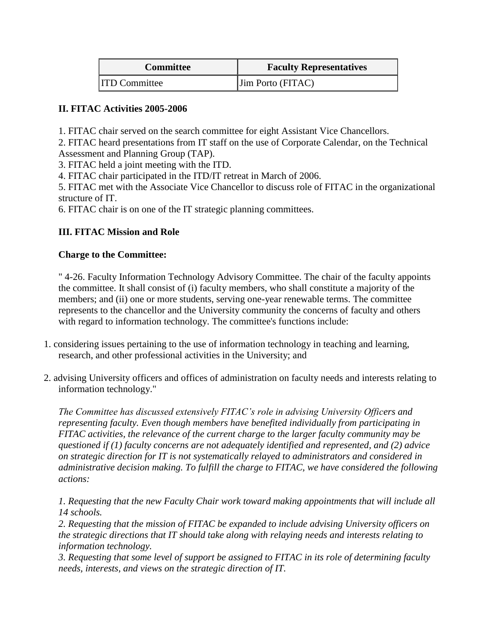| <b>Committee</b>     | <b>Faculty Representatives</b> |
|----------------------|--------------------------------|
| <b>ITD Committee</b> | $\vert$ Jim Porto (FITAC)      |

### **II. FITAC Activities 2005-2006**

1. FITAC chair served on the search committee for eight Assistant Vice Chancellors.

2. FITAC heard presentations from IT staff on the use of Corporate Calendar, on the Technical Assessment and Planning Group (TAP).

3. FITAC held a joint meeting with the ITD.

4. FITAC chair participated in the ITD/IT retreat in March of 2006.

5. FITAC met with the Associate Vice Chancellor to discuss role of FITAC in the organizational structure of IT.

6. FITAC chair is on one of the IT strategic planning committees.

# **III. FITAC Mission and Role**

### **Charge to the Committee:**

" 4-26. Faculty Information Technology Advisory Committee. The chair of the faculty appoints the committee. It shall consist of (i) faculty members, who shall constitute a majority of the members; and (ii) one or more students, serving one-year renewable terms. The committee represents to the chancellor and the University community the concerns of faculty and others with regard to information technology. The committee's functions include:

- 1. considering issues pertaining to the use of information technology in teaching and learning, research, and other professional activities in the University; and
- 2. advising University officers and offices of administration on faculty needs and interests relating to information technology."

*The Committee has discussed extensively FITAC's role in advising University Officers and representing faculty. Even though members have benefited individually from participating in FITAC activities, the relevance of the current charge to the larger faculty community may be questioned if (1) faculty concerns are not adequately identified and represented, and (2) advice on strategic direction for IT is not systematically relayed to administrators and considered in administrative decision making. To fulfill the charge to FITAC, we have considered the following actions:*

*1. Requesting that the new Faculty Chair work toward making appointments that will include all 14 schools.*

*2. Requesting that the mission of FITAC be expanded to include advising University officers on the strategic directions that IT should take along with relaying needs and interests relating to information technology.*

*3. Requesting that some level of support be assigned to FITAC in its role of determining faculty needs, interests, and views on the strategic direction of IT.*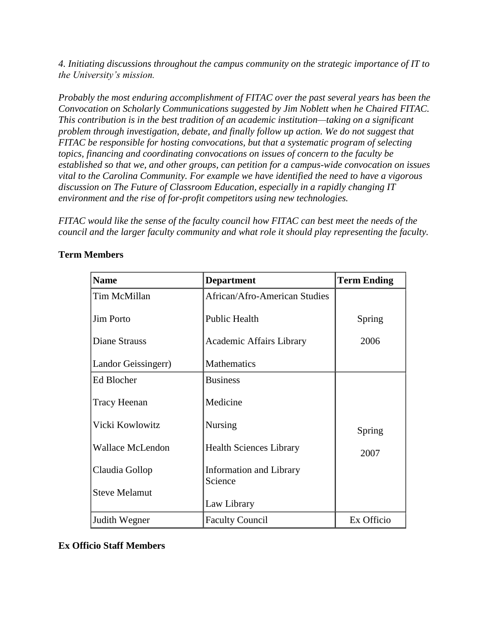*4. Initiating discussions throughout the campus community on the strategic importance of IT to the University's mission.*

*Probably the most enduring accomplishment of FITAC over the past several years has been the Convocation on Scholarly Communications suggested by Jim Noblett when he Chaired FITAC. This contribution is in the best tradition of an academic institution—taking on a significant problem through investigation, debate, and finally follow up action. We do not suggest that FITAC be responsible for hosting convocations, but that a systematic program of selecting topics, financing and coordinating convocations on issues of concern to the faculty be established so that we, and other groups, can petition for a campus-wide convocation on issues vital to the Carolina Community. For example we have identified the need to have a vigorous discussion on The Future of Classroom Education, especially in a rapidly changing IT environment and the rise of for-profit competitors using new technologies.* 

*FITAC would like the sense of the faculty council how FITAC can best meet the needs of the council and the larger faculty community and what role it should play representing the faculty.* 

| <b>Name</b>             | <b>Department</b>                  | <b>Term Ending</b> |
|-------------------------|------------------------------------|--------------------|
| Tim McMillan            | African/Afro-American Studies      |                    |
| <b>Jim Porto</b>        | Public Health                      | Spring             |
| Diane Strauss           | Academic Affairs Library           | 2006               |
| Landor Geissingerr)     | <b>Mathematics</b>                 |                    |
| Ed Blocher              | <b>Business</b>                    |                    |
| Tracy Heenan            | Medicine                           |                    |
| Vicki Kowlowitz         | Nursing                            | Spring             |
| <b>Wallace McLendon</b> | <b>Health Sciences Library</b>     | 2007               |
| Claudia Gollop          | Information and Library<br>Science |                    |
| <b>Steve Melamut</b>    |                                    |                    |
|                         | Law Library                        |                    |
| Judith Wegner           | <b>Faculty Council</b>             | Ex Officio         |

### **Term Members**

# **Ex Officio Staff Members**